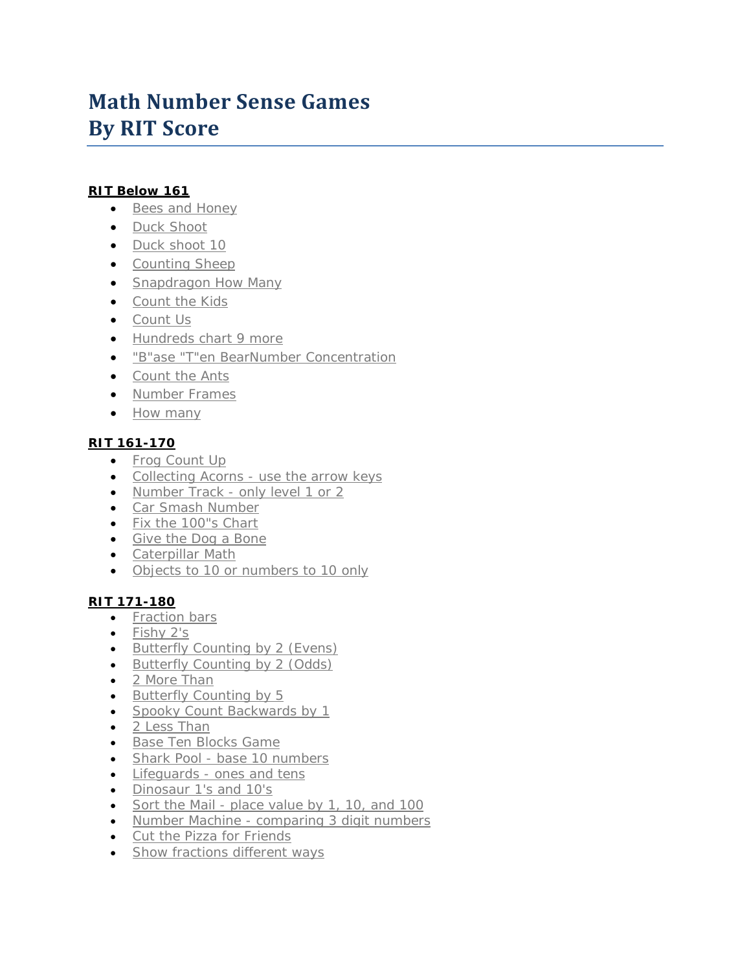# **Math Number Sense Games By RIT Score**

## **RIT Below 161**

- [Bees and Honey](http://www.tvokids.com/framesets/bby.html?game=66)
- [Duck Shoot](http://www.ictgames.com/newduckshoot.html)
- [Duck shoot 10](http://www.ictgames.com/newduckshoot10s.html)
- [Counting Sheep](http://www.abc.net.au/countusin/games/game1.htm)
- [Snapdragon How Many](http://www.bbc.co.uk/wales/snapdragon/yesflash/how-many-1.htm)
- [Count the Kids](http://www.juliasrainbowcorner.com/html/kidsonbus.html)
- [Count Us](http://www.abc.net.au/countusin/games/game3.htm)
- [Hundreds chart 9 more](http://www.ictgames.com/100huntadd9.html)
- "B"ase "T"en Bea[rNumber Concentration](http://illuminations.nctm.org/ActivityDetail.aspx?ID=73)
- [Count the Ants](http://juliasrainbowcorner.com/html/ants.html)
- [Number Frames](http://illuminations.nctm.org/ActivityDetail.aspx?ID=75)
- [How many](http://www.kidport.com/GradeK/Math/NumberSense/MathK_HowMany.htm)

# **RIT 161-170**

- [Frog Count Up](http://www.abc.net.au/countusin/games/game11.htm)
- Collecting Acorns [use the arrow keys](http://www.ictgames.com/nuttynumbers.html)
- Number Track [only level 1 or 2](http://www.crickweb.co.uk/assets/resources/flash.php?&file=ntrack)
- [Car Smash Number](http://www.ictgames.com/counting_cars_changecars.html)
- [Fix the 100"s Chart](http://www.bbc.co.uk/schools/numbertime/games/mend.shtml)
- [Give the Dog a Bone](http://www.oswego.org/ocsd-web/games/DogBone/gamebone.html)
- [Caterpillar Math](http://www.wmnet.org.uk/resources/gordon/Caterpillar%20ordering%20v3.swf)
- [Objects to 10 or numbers to 10 only](http://www.wmnet.org.uk/wmnet/custom/files_uploaded/uploaded_resources/851/Higher&Lower-Reveal&Orderv4.swf)

# **RIT 171-180**

- [Fraction bars](http://www.bgfl.org/bgfl/custom/resources_ftp/client_ftp/ks2/maths/fractions/level2.htm)
- [Fishy 2's](http://www.ictgames.com/fishy2s.html)
- [Butterfly Counting by 2 \(Evens\)](http://www.ictgames.com/fairyfog2s_v2.html)
- [Butterfly Counting by 2 \(Odds\)](http://www.ictgames.com/fairy_fog_odd.html)
- [2 More Than](http://www.bgfl.org/bgfl/custom/resources_ftp/client_ftp/ks1/maths/two_more/index.htm)
- [Butterfly Counting by 5](http://www.ictgames.com/fairyfog5s_v2.html)
- [Spooky Count Backwards by 1](http://www.oswego.org/ocsd-web/games/spookyseq/spookycb1.html)
- [2 Less Than](http://www.bgfl.org/bgfl/custom/resources_ftp/client_ftp/ks1/maths/two_less/index.htm)
- [Base Ten Blocks Game](http://www.learningbox.com/base10/BaseTen.html)
- Shark Pool [base 10 numbers](http://www.ictgames.com/sharknumbers.html)
- Lifeguards [ones and tens](http://www.ictgames.com/LIFEGUARDS.html)
- [Dinosaur 1's and 10's](http://www.ictgames.com/dinoplacevalue.html)
- Sort the Mail [place value by 1, 10, and 100](http://www.wmnet.org.uk/wmnet/custom/files_uploaded/uploaded_resources/853/Postsortingv3.swf)
- Number Machine [comparing 3 digit numbers](http://pbskids.org/cyberchase/games/numbersense/machine.html)
- [Cut the Pizza for Friends](http://www.bgfl.org/bgfl/custom/resources_ftp/client_ftp/ks2/maths/fractions/level1.htm)
- [Show fractions different ways](http://illuminations.nctm.org/ActivityDetail.aspx?ID=45)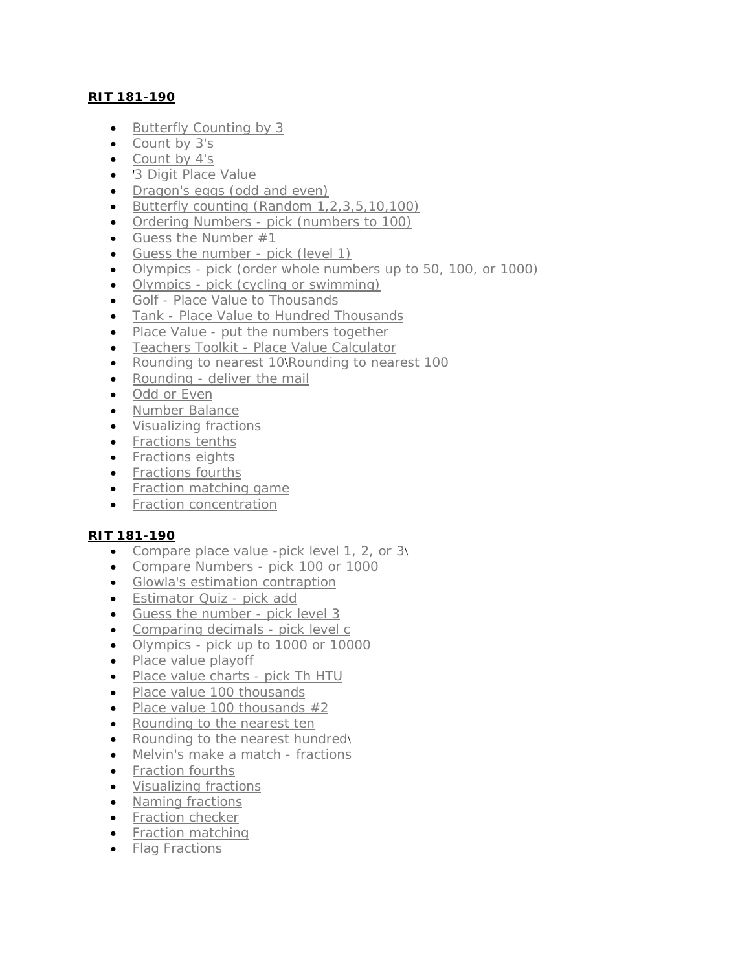## **RIT 181-190**

- [Butterfly Counting by 3](http://www.ictgames.com/fairyfog3s_v2.html)
- [Count by 3's](http://www.aaamath.com/B/g3_25dx2.htm#section2)
- Count [by 4's](http://www.aaamath.com/B/g3_25ex2.htm#section2)
- '[3 Digit Place Value](http://www.aaamath.com/B/plc21ax2.htm#section2)
- Dragon's [eggs \(odd and even\)](http://www.ictgames.com/dragonmap.html)
- [Butterfly counting \(Random 1,2,3,5,10,100\)](http://www.ictgames.com/fairyfog_random.html)
- Ordering Numbers [pick \(numbers to 100\)](http://www.wmnet.org.uk/wmnet/custom/files_uploaded/uploaded_resources/851/Higher&Lower-Reveal&Orderv4.swf)
- Guess the Number  $#1$
- [Guess the number -](http://www.crickweb.co.uk/assets/resources/flash.php?&file=number%20guess2) pick (level 1)
- Olympics [pick \(order whole numbers up to 50, 100, or 1000\)](http://www.mathsonline.co.uk/nonmembers/gamesroom/awards/awardc.html)
- Olympics [pick \(cycling or swimming\)](http://www.mathsonline.co.uk/nonmembers/gamesroom/awards/awardc.html)
- Golf [Place Value to Thousands](http://www.toonuniversity.com/flash.asp?err=496&engine=5)
- Tank [Place Value to Hundred Thousands](http://www.toonuniversity.com/flash.asp?err=503&engine=15)
- Place Value [put the numbers together](http://www.wmnet.org.uk/wmnet/custom/files_uploaded/uploaded_resources/853/PlaceValueChartv4.swf)
- Teachers Toolkit [Place Value Calculator](http://www.crickweb.co.uk/assets/resources/flash.php?&file=Toolkit%20index2a)
- [Rounding to nearest 10](http://www.aaamath.com/est27a-rounding.html#section2)\[Rounding to nearest 100](http://www.aaamath.com/est32-round100.html#section2)
- Rounding [deliver the mail](http://www.wmnet.org.uk/wmnet/custom/files_uploaded/uploaded_resources/853/Postsortingv3.swf)
- [Odd or Even](http://www.crickweb.co.uk/assets/resources/flash.php?&file=npmenu)
- [Number Balance](http://illuminations.nctm.org/ActivityDetail.aspx?id=26)
- [Visualizing fractions](http://nlvm.usu.edu/en/nav/frames_asid_103_g_1_t_1.html)
- [Fractions tenths](http://www.aaamath.com/B/fra35cx2.htm#section2)
- [Fractions eights](http://www.aaamath.com/B/fra35bx2.htm#section2)
- [Fractions fourths](http://www.aaamath.com/B/fra35ax2.htm#section2)
- [Fraction matching game](http://www.teachingandlearningresources.co.uk/matchfractions.shtml)
- [Fraction concentration](http://illuminations.nctm.org/ActivityDetail.aspx?ID=73)

#### **RIT 181-190**

- [Compare place value -pick level 1, 2, or 3](http://www.toonuniversity.com/flash.asp?err=496&engine=5)\
- [Compare Numbers -](http://www.crickweb.co.uk/assets/resources/flash.php?&file=ncmenu) pick 100 or 1000
- [Glowla's estimation contraption](http://pbskids.org/cyberchase/games/ballparkestimation/ballparkestimation.html)
- [Estimator Quiz -](http://www.shodor.org/interactivate/activities/EstimatorQuiz/?version=1.5.0_07&browser=safari&vendor=Apple_Computer,_Inc.) pick add
- [Guess the number -](http://www.crickweb.co.uk/assets/resources/flash.php?&file=number%20guess2) pick level 3
- [Comparing decimals -](http://www.bbc.co.uk/skillswise/numbers/fractiondecimalpercentage/decimals/introductiontodecimals/flash2.shtml) pick level c
- Olympics [pick up to 1000 or 10000](http://www.mathsonline.co.uk/nonmembers/gamesroom/awards/awardc.html)
- [Place value playoff](http://www.quia.com/mc/279741.html)
- [Place value charts -](http://www.wmnet.org.uk/wmnet/custom/files_uploaded/uploaded_resources/853/PlaceValueChartv4.swf) pick Th HTU
- [Place value 100 thousands](http://www.aaamath.com/B/plc31_x2.htm#section2)
- Place value 100 thousands  $#2$
- [Rounding to the nearest ten](http://www.aaamath.com/est27a-rounding.html#section2)
- [Rounding to the nearest hundred](http://www.aaamath.com/est32-round100.html#section2)
- [Melvin's make a match -](http://pbskids.org/cyberchase/games/equivalentfractions/index.html) fractions
- [Fraction fourths](http://www.aaamath.com/B/fra16_x2.htm#section2)
- [Visualizing fractions](http://nlvm.usu.edu/en/nav/frames_asid_103_g_1_t_1.html)
- [Naming fractions](http://nlvm.usu.edu/en/nav/frames_asid_104_g_1_t_1.html)
- [Fraction checker](http://www.bgfl.org/bgfl/custom/resources_ftp/client_ftp/ks2/maths/fractions/level3.htm)
- [Fraction matching](http://www.teachingandlearningresources.co.uk/matchfractions.shtml)
- [Flag Fractions](http://www.oswego.org/ocsd-web/games/fractionflags/fractionflags.html)